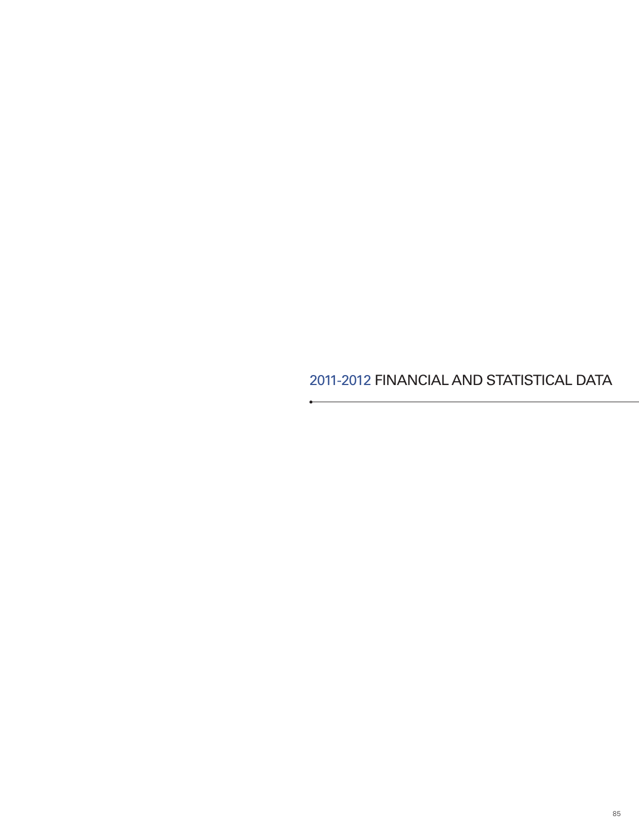2011-2012 FINANCIAL AND STATISTICAL DATA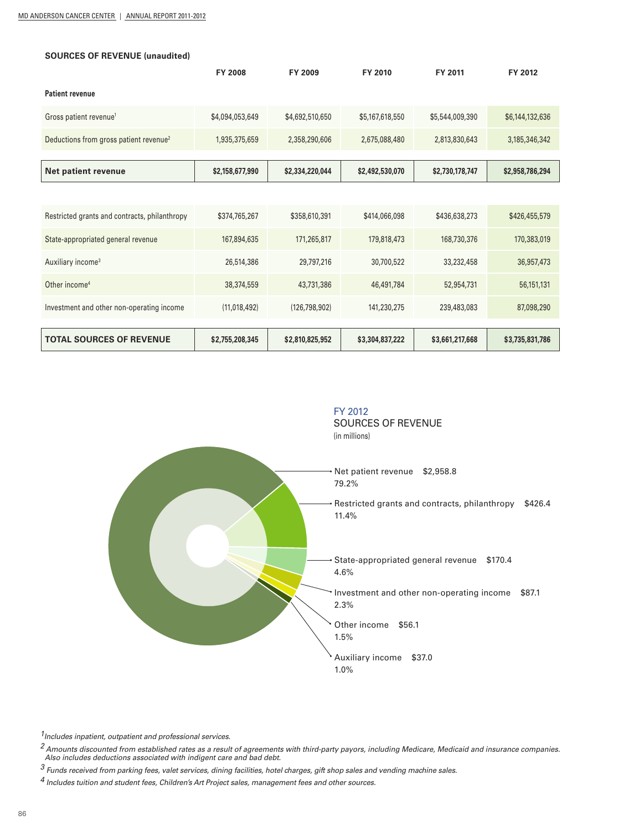| <b>SOURCES OF REVENUE (unaudited)</b>              |                 |                 |                 |                 |                 |  |
|----------------------------------------------------|-----------------|-----------------|-----------------|-----------------|-----------------|--|
|                                                    | <b>FY 2008</b>  | FY 2009         | FY 2010         | FY 2011         | FY 2012         |  |
| <b>Patient revenue</b>                             |                 |                 |                 |                 |                 |  |
| Gross patient revenue <sup>1</sup>                 | \$4,094,053,649 | \$4,692,510,650 | \$5,167,618,550 | \$5,544,009,390 | \$6,144,132,636 |  |
| Deductions from gross patient revenue <sup>2</sup> | 1,935,375,659   | 2,358,290,606   | 2,675,088,480   | 2,813,830,643   | 3,185,346,342   |  |
|                                                    |                 |                 |                 |                 |                 |  |
| Net patient revenue                                | \$2,158,677,990 | \$2,334,220,044 | \$2,492,530,070 | \$2,730,178,747 | \$2,958,786,294 |  |
|                                                    |                 |                 |                 |                 |                 |  |
| Restricted grants and contracts, philanthropy      | \$374,765,267   | \$358,610,391   | \$414,066,098   | \$436,638,273   | \$426,455,579   |  |
| State-appropriated general revenue                 | 167,894,635     | 171,265,817     | 179,818,473     | 168,730,376     | 170,383,019     |  |
| Auxiliary income <sup>3</sup>                      | 26,514,386      | 29,797,216      | 30,700,522      | 33,232,458      | 36,957,473      |  |
| Other income <sup>4</sup>                          | 38,374,559      | 43,731,386      | 46,491,784      | 52,954,731      | 56,151,131      |  |
| Investment and other non-operating income          | (11,018,492)    | (126, 798, 902) | 141,230,275     | 239,483,083     | 87,098,290      |  |
|                                                    |                 |                 |                 |                 |                 |  |
| <b>TOTAL SOURCES OF REVENUE</b>                    | \$2,755,208,345 | \$2,810,825,952 | \$3,304,837,222 | \$3,661,217,668 | \$3,735,831,786 |  |



 *1Includes inpatient, outpatient and professional services.* 

*2 Amounts discounted from established rates as a result of agreements with third-party payors, including Medicare, Medicaid and insurance companies. Also includes deductions associated with indigent care and bad debt.* 

*3 Funds received from parking fees, valet services, dining facilities, hotel charges, gift shop sales and vending machine sales.* 

*4 Includes tuition and student fees, Children's Art Project sales, management fees and other sources.*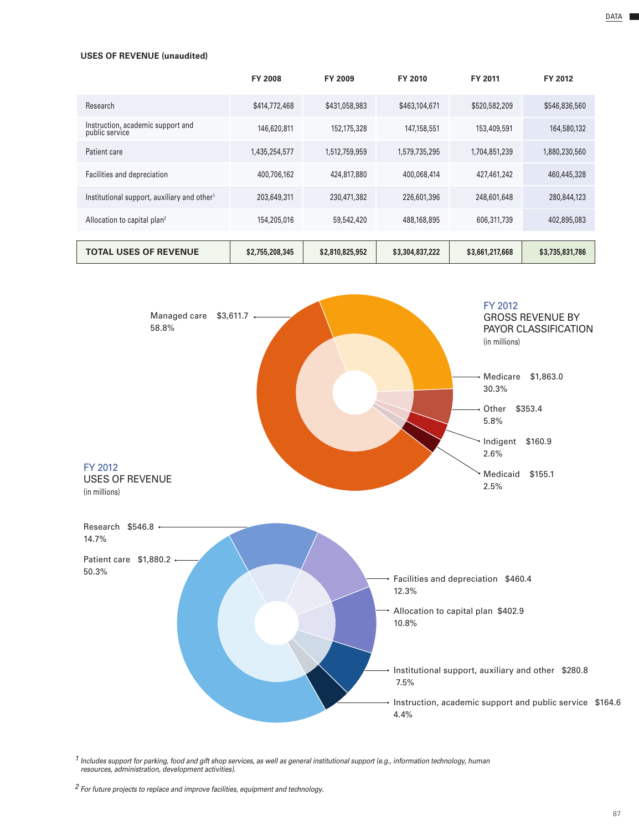#### **USES OF REVENUE (unaudited)**

|                                                         | <b>FY 2008</b>  | FY 2009         | FY 2010         | FY 2011         | FY 2012         |
|---------------------------------------------------------|-----------------|-----------------|-----------------|-----------------|-----------------|
| Research                                                | \$414,772,468   | \$431,058,983   | \$463,104,671   | \$520,582,209   | \$546,836,560   |
| Instruction, academic support and<br>public service     | 146,620,811     | 152,175,328     | 147,158,551     | 153,409,591     | 164,580,132     |
| Patient care                                            | 1,435,254,577   | 1,512,759,959   | 1,579,735,295   | 1,704,851,239   | 1,880,230,560   |
| Facilities and depreciation                             | 400,706,162     | 424,817,880     | 400,068,414     | 427,461,242     | 460,445,328     |
| Institutional support, auxiliary and other <sup>1</sup> | 203,649,311     | 230,471,382     | 226,601,396     | 248,601,648     | 280,844,123     |
| Allocation to capital plan <sup>2</sup>                 | 154,205,016     | 59,542,420      | 488,168,895     | 606,311,739     | 402,895,083     |
|                                                         |                 |                 |                 |                 |                 |
| <b>TOTAL USES OF REVENUE</b>                            | \$2,755,208,345 | \$2,810,825,952 | \$3,304,837,222 | \$3,661,217,668 | \$3,735,831,786 |



*<sup>1</sup> Includes support for parking, food and gift shop services, as well as general institutional support (e.g., information technology, human resources, administration, development activities).* 

DATA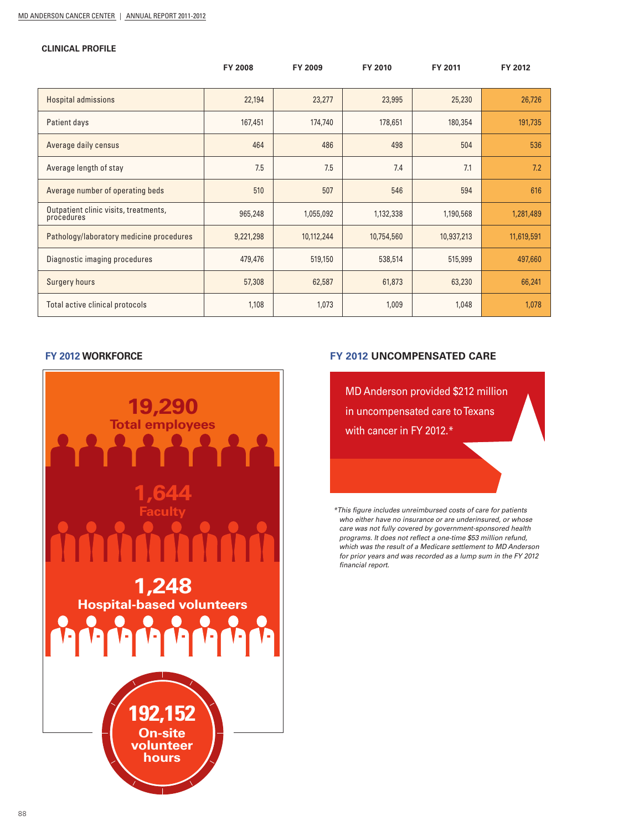#### **CLINICAL PROFILE**

|                                                     | <b>FY 2008</b> | FY 2009    | FY 2010    | FY 2011    | FY 2012    |
|-----------------------------------------------------|----------------|------------|------------|------------|------------|
| <b>Hospital admissions</b>                          | 22,194         | 23,277     | 23,995     | 25,230     | 26,726     |
| Patient days                                        | 167,451        | 174,740    | 178,651    | 180,354    | 191,735    |
| Average daily census                                | 464            | 486        | 498        | 504        | 536        |
| Average length of stay                              | 7.5            | 7.5        | 7.4        | 7.1        | 7.2        |
| Average number of operating beds                    | 510            | 507        | 546        | 594        | 616        |
| Outpatient clinic visits, treatments,<br>procedures | 965,248        | 1,055,092  | 1,132,338  | 1,190,568  | 1,281,489  |
| Pathology/laboratory medicine procedures            | 9,221,298      | 10,112,244 | 10,754,560 | 10,937,213 | 11,619,591 |
| Diagnostic imaging procedures                       | 479,476        | 519,150    | 538,514    | 515,999    | 497,660    |
| <b>Surgery hours</b>                                | 57,308         | 62,587     | 61,873     | 63,230     | 66,241     |
| Total active clinical protocols                     | 1,108          | 1,073      | 1,009      | 1,048      | 1,078      |

### **FY 2012 WORKFORCE**



# **FY 2012 UNCOMPENSATED CARE**

MD Anderson provided \$212 million in uncompensated care to Texans with cancer in FY 2012.\*

*\*This figure includes unreimbursed costs of care for patients who either have no insurance or are underinsured, or whose care was not fully covered by government-sponsored health programs. It does not reflect a one-time \$53 million refund, which was the result of a Medicare settlement to MD Anderson for prior years and was recorded as a lump sum in the FY 2012 financial report.*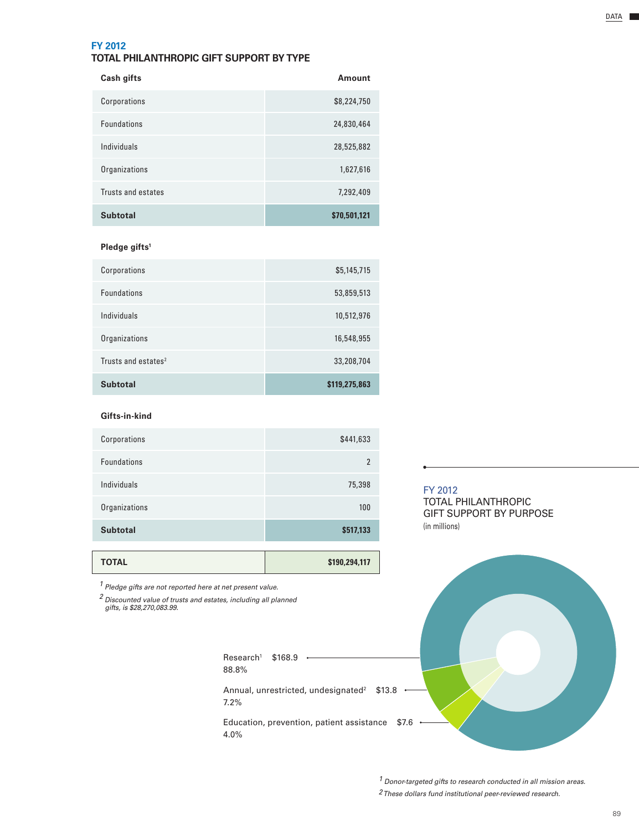# **FY 2012**

# **TOTAL PHILANTHROPIC GIFT SUPPORT BY TYPE**

| Cash gifts         | Amount       |
|--------------------|--------------|
| Corporations       | \$8,224,750  |
| <b>Foundations</b> | 24,830,464   |
| Individuals        | 28,525,882   |
| Organizations      | 1,627,616    |
| Trusts and estates | 7,292,409    |
| <b>Subtotal</b>    | \$70,501,121 |

### **Pledge gifts1**

| <b>Subtotal</b>                 | \$119,275,863 |
|---------------------------------|---------------|
| Trusts and estates <sup>2</sup> | 33,208,704    |
| Organizations                   | 16,548,955    |
| Individuals                     | 10,512,976    |
| <b>Foundations</b>              | 53,859,513    |
| Corporations                    | \$5,145,715   |

### **Gifts-in-kind**

| Corporations       | \$441,633      |
|--------------------|----------------|
| <b>Foundations</b> | $\mathfrak{p}$ |
| Individuals        | 75,398         |
| Organizations      | 100            |
| <b>Subtotal</b>    | \$517,133      |
|                    |                |

**TOTAL \$190,294,117** 

*1 Pledge gifts are not reported here at net present value.*

*<sup>2</sup> Discounted value of trusts and estates, including all planned gifts, is \$28,270,083.99.*

> Research1 \$168.9 88.8% Annual, unrestricted, undesignated<sup>2</sup> \$13.8 7.2%

Education, prevention, patient assistance \$7.6 4.0%

### FY 2012 TOTAL PHILANTHROPIC

GIFT SUPPORT BY PURPOSE (in millions)



*1 Donor-targeted gifts to research conducted in all mission areas.*

*2 These dollars fund institutional peer-reviewed research.*